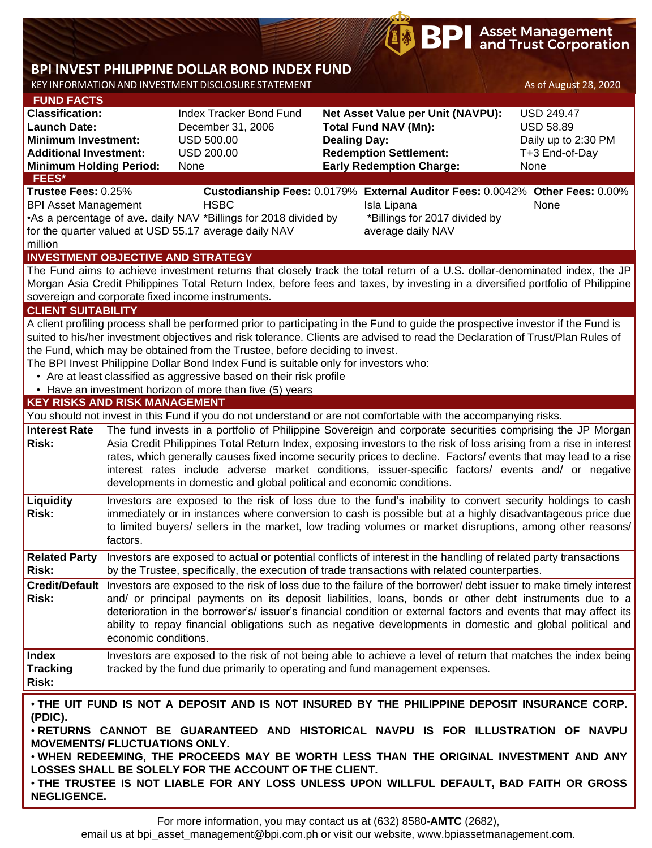# **BP** Asset Management

## **BPI INVEST PHILIPPINE DOLLAR BOND INDEX FUND**

KEY INFORMATION AND INVESTMENT DISCLOSURE STATEMENT AS OF August 28, 2020

| <b>FUND FACTS</b>                                                                                                                                                                                                                                                                                                                                                                                                                                                                                                                                                              |                                                                                                                                                                                                                                                                                                                                                                                                                                                                                                                                   |                                                                                                                                                                                                                                                                                                                                                                                                                                                                                                    |                     |                                                                                                                                                                                                                                                                                                                                       |                                                                                        |  |  |  |  |
|--------------------------------------------------------------------------------------------------------------------------------------------------------------------------------------------------------------------------------------------------------------------------------------------------------------------------------------------------------------------------------------------------------------------------------------------------------------------------------------------------------------------------------------------------------------------------------|-----------------------------------------------------------------------------------------------------------------------------------------------------------------------------------------------------------------------------------------------------------------------------------------------------------------------------------------------------------------------------------------------------------------------------------------------------------------------------------------------------------------------------------|----------------------------------------------------------------------------------------------------------------------------------------------------------------------------------------------------------------------------------------------------------------------------------------------------------------------------------------------------------------------------------------------------------------------------------------------------------------------------------------------------|---------------------|---------------------------------------------------------------------------------------------------------------------------------------------------------------------------------------------------------------------------------------------------------------------------------------------------------------------------------------|----------------------------------------------------------------------------------------|--|--|--|--|
| <b>Classification:</b><br><b>Launch Date:</b><br><b>Minimum Investment:</b><br><b>Additional Investment:</b><br><b>Minimum Holding Period:</b>                                                                                                                                                                                                                                                                                                                                                                                                                                 |                                                                                                                                                                                                                                                                                                                                                                                                                                                                                                                                   | Index Tracker Bond Fund<br>December 31, 2006<br><b>USD 500.00</b><br><b>USD 200.00</b><br>None                                                                                                                                                                                                                                                                                                                                                                                                     | <b>Dealing Day:</b> | Net Asset Value per Unit (NAVPU):<br><b>Total Fund NAV (Mn):</b><br><b>Redemption Settlement:</b><br><b>Early Redemption Charge:</b>                                                                                                                                                                                                  | <b>USD 249.47</b><br><b>USD 58.89</b><br>Daily up to 2:30 PM<br>T+3 End-of-Day<br>None |  |  |  |  |
| FEES*                                                                                                                                                                                                                                                                                                                                                                                                                                                                                                                                                                          |                                                                                                                                                                                                                                                                                                                                                                                                                                                                                                                                   |                                                                                                                                                                                                                                                                                                                                                                                                                                                                                                    |                     |                                                                                                                                                                                                                                                                                                                                       |                                                                                        |  |  |  |  |
| Trustee Fees: 0.25%<br><b>BPI Asset Management</b><br>million                                                                                                                                                                                                                                                                                                                                                                                                                                                                                                                  |                                                                                                                                                                                                                                                                                                                                                                                                                                                                                                                                   | <b>HSBC</b><br>•As a percentage of ave. daily NAV *Billings for 2018 divided by<br>for the quarter valued at USD 55.17 average daily NAV                                                                                                                                                                                                                                                                                                                                                           |                     | Custodianship Fees: 0.0179% External Auditor Fees: 0.0042% Other Fees: 0.00%<br>Isla Lipana<br>*Billings for 2017 divided by<br>average daily NAV                                                                                                                                                                                     | None                                                                                   |  |  |  |  |
|                                                                                                                                                                                                                                                                                                                                                                                                                                                                                                                                                                                |                                                                                                                                                                                                                                                                                                                                                                                                                                                                                                                                   | <b>INVESTMENT OBJECTIVE AND STRATEGY</b>                                                                                                                                                                                                                                                                                                                                                                                                                                                           |                     |                                                                                                                                                                                                                                                                                                                                       |                                                                                        |  |  |  |  |
| The Fund aims to achieve investment returns that closely track the total return of a U.S. dollar-denominated index, the JP<br>Morgan Asia Credit Philippines Total Return Index, before fees and taxes, by investing in a diversified portfolio of Philippine<br>sovereign and corporate fixed income instruments.                                                                                                                                                                                                                                                             |                                                                                                                                                                                                                                                                                                                                                                                                                                                                                                                                   |                                                                                                                                                                                                                                                                                                                                                                                                                                                                                                    |                     |                                                                                                                                                                                                                                                                                                                                       |                                                                                        |  |  |  |  |
| <b>CLIENT SUITABILITY</b>                                                                                                                                                                                                                                                                                                                                                                                                                                                                                                                                                      |                                                                                                                                                                                                                                                                                                                                                                                                                                                                                                                                   |                                                                                                                                                                                                                                                                                                                                                                                                                                                                                                    |                     |                                                                                                                                                                                                                                                                                                                                       |                                                                                        |  |  |  |  |
| A client profiling process shall be performed prior to participating in the Fund to guide the prospective investor if the Fund is<br>suited to his/her investment objectives and risk tolerance. Clients are advised to read the Declaration of Trust/Plan Rules of<br>the Fund, which may be obtained from the Trustee, before deciding to invest.<br>The BPI Invest Philippine Dollar Bond Index Fund is suitable only for investors who:<br>• Are at least classified as aggressive based on their risk profile<br>• Have an investment horizon of more than five (5) years |                                                                                                                                                                                                                                                                                                                                                                                                                                                                                                                                   |                                                                                                                                                                                                                                                                                                                                                                                                                                                                                                    |                     |                                                                                                                                                                                                                                                                                                                                       |                                                                                        |  |  |  |  |
| <b>KEY RISKS AND RISK MANAGEMENT</b>                                                                                                                                                                                                                                                                                                                                                                                                                                                                                                                                           |                                                                                                                                                                                                                                                                                                                                                                                                                                                                                                                                   |                                                                                                                                                                                                                                                                                                                                                                                                                                                                                                    |                     |                                                                                                                                                                                                                                                                                                                                       |                                                                                        |  |  |  |  |
|                                                                                                                                                                                                                                                                                                                                                                                                                                                                                                                                                                                |                                                                                                                                                                                                                                                                                                                                                                                                                                                                                                                                   |                                                                                                                                                                                                                                                                                                                                                                                                                                                                                                    |                     | You should not invest in this Fund if you do not understand or are not comfortable with the accompanying risks.                                                                                                                                                                                                                       |                                                                                        |  |  |  |  |
| <b>Interest Rate</b><br><b>Risk:</b>                                                                                                                                                                                                                                                                                                                                                                                                                                                                                                                                           | The fund invests in a portfolio of Philippine Sovereign and corporate securities comprising the JP Morgan<br>Asia Credit Philippines Total Return Index, exposing investors to the risk of loss arising from a rise in interest<br>rates, which generally causes fixed income security prices to decline. Factors/ events that may lead to a rise<br>interest rates include adverse market conditions, issuer-specific factors/ events and/ or negative<br>developments in domestic and global political and economic conditions. |                                                                                                                                                                                                                                                                                                                                                                                                                                                                                                    |                     |                                                                                                                                                                                                                                                                                                                                       |                                                                                        |  |  |  |  |
| Liquidity<br><b>Risk:</b>                                                                                                                                                                                                                                                                                                                                                                                                                                                                                                                                                      | factors.                                                                                                                                                                                                                                                                                                                                                                                                                                                                                                                          |                                                                                                                                                                                                                                                                                                                                                                                                                                                                                                    |                     | Investors are exposed to the risk of loss due to the fund's inability to convert security holdings to cash<br>immediately or in instances where conversion to cash is possible but at a highly disadvantageous price due<br>to limited buyers/ sellers in the market, low trading volumes or market disruptions, among other reasons/ |                                                                                        |  |  |  |  |
| <b>Related Party</b><br><b>Risk:</b>                                                                                                                                                                                                                                                                                                                                                                                                                                                                                                                                           |                                                                                                                                                                                                                                                                                                                                                                                                                                                                                                                                   |                                                                                                                                                                                                                                                                                                                                                                                                                                                                                                    |                     | Investors are exposed to actual or potential conflicts of interest in the handling of related party transactions<br>by the Trustee, specifically, the execution of trade transactions with related counterparties.                                                                                                                    |                                                                                        |  |  |  |  |
| <b>Risk:</b>                                                                                                                                                                                                                                                                                                                                                                                                                                                                                                                                                                   |                                                                                                                                                                                                                                                                                                                                                                                                                                                                                                                                   | Credit/Default Investors are exposed to the risk of loss due to the failure of the borrower/debt issuer to make timely interest<br>and/ or principal payments on its deposit liabilities, loans, bonds or other debt instruments due to a<br>deterioration in the borrower's/ issuer's financial condition or external factors and events that may affect its<br>ability to repay financial obligations such as negative developments in domestic and global political and<br>economic conditions. |                     |                                                                                                                                                                                                                                                                                                                                       |                                                                                        |  |  |  |  |
| <b>Index</b><br><b>Tracking</b><br>Risk:                                                                                                                                                                                                                                                                                                                                                                                                                                                                                                                                       |                                                                                                                                                                                                                                                                                                                                                                                                                                                                                                                                   | tracked by the fund due primarily to operating and fund management expenses.                                                                                                                                                                                                                                                                                                                                                                                                                       |                     | Investors are exposed to the risk of not being able to achieve a level of return that matches the index being                                                                                                                                                                                                                         |                                                                                        |  |  |  |  |
| . THE UIT FUND IS NOT A DEPOSIT AND IS NOT INSURED BY THE PHILIPPINE DEPOSIT INSURANCE CORP.<br>(PDIC).<br>. RETURNS CANNOT BE GUARANTEED AND HISTORICAL NAVPU IS FOR ILLUSTRATION OF NAVPU<br><b>MOVEMENTS/ FLUCTUATIONS ONLY.</b><br>. WHEN REDEEMING, THE PROCEEDS MAY BE WORTH LESS THAN THE ORIGINAL INVESTMENT AND ANY                                                                                                                                                                                                                                                   |                                                                                                                                                                                                                                                                                                                                                                                                                                                                                                                                   |                                                                                                                                                                                                                                                                                                                                                                                                                                                                                                    |                     |                                                                                                                                                                                                                                                                                                                                       |                                                                                        |  |  |  |  |

**LOSSES SHALL BE SOLELY FOR THE ACCOUNT OF THE CLIENT.** • **THE TRUSTEE IS NOT LIABLE FOR ANY LOSS UNLESS UPON WILLFUL DEFAULT, BAD FAITH OR GROSS NEGLIGENCE.**

For more information, you may contact us at (632) 8580-**AMTC** (2682),

email us at bpi\_asset\_management@bpi.com.ph or visit our website, www.bpiassetmanagement.com.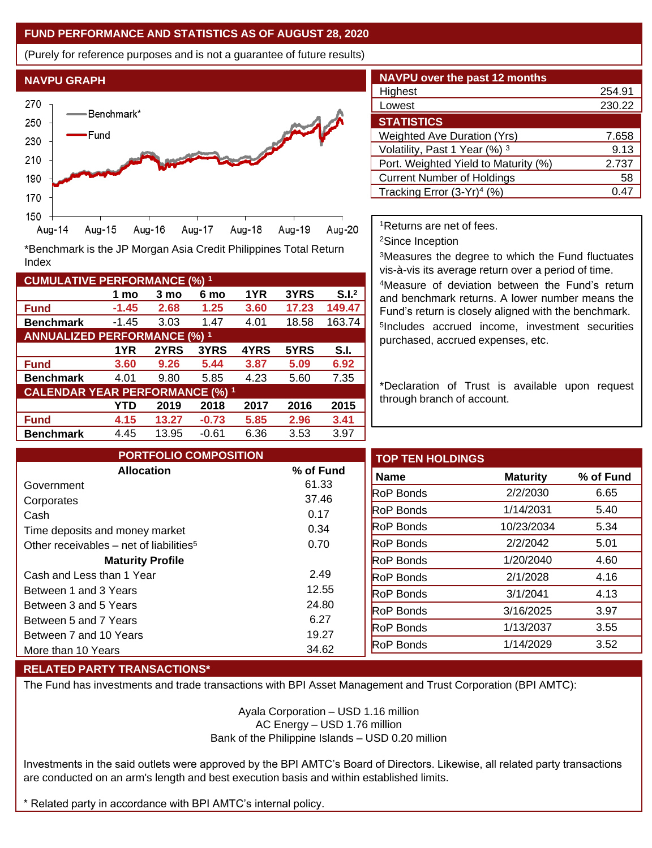#### **FUND PERFORMANCE AND STATISTICS AS OF AUGUST 28, 2020**

(Purely for reference purposes and is not a guarantee of future results)



**Fund -1.45 2.68 1.25 3.60 17.23 149.47 Benchmark** -1.45 3.03 1.47 4.01 18.58 163.74

\*Benchmark is the JP Morgan Asia Credit Philippines Total Return

**Fund 3.60 9.26 5.44 3.87 5.09 6.92 Benchmark** 4.01 9.80 5.85 4.23 5.60 7.35

**Fund 4.15 13.27 -0.73 5.85 2.96 3.41 Benchmark** 4.45 13.95 -0.61 6.36 3.53 3.97

**1 mo 3 mo 6 mo 1YR 3YRS S.I.<sup>2</sup>**

**1YR 2YRS 3YRS 4YRS 5YRS S.I.**

**YTD 2019 2018 2017 2016 2015**

| <b>NAVPU over the past 12 months</b>   |        |
|----------------------------------------|--------|
| Highest                                | 254.91 |
| Lowest                                 | 230.22 |
| <b>STATISTICS</b>                      |        |
| <b>Weighted Ave Duration (Yrs)</b>     | 7.658  |
| Volatility, Past 1 Year (%) 3          | 9.13   |
| Port. Weighted Yield to Maturity (%)   | 2.737  |
| <b>Current Number of Holdings</b>      | 58     |
| Tracking Error (3-Yr) <sup>4</sup> (%) | 0.47   |

<sup>1</sup>Returns are net of fees.

<sup>2</sup>Since Inception

<sup>3</sup>Measures the degree to which the Fund fluctuates vis-à-vis its average return over a period of time.

<sup>4</sup>Measure of deviation between the Fund's return and benchmark returns. A lower number means the Fund's return is closely aligned with the benchmark. 5 Includes accrued income, investment securities purchased, accrued expenses, etc.

\*Declaration of Trust is available upon request through branch of account.

| <b>PORTFOLIO COMPOSITION</b>                        |           | <b>TOP TEN HOLDINGS</b> |                 |           |
|-----------------------------------------------------|-----------|-------------------------|-----------------|-----------|
| <b>Allocation</b>                                   | % of Fund | <b>Name</b>             | <b>Maturity</b> | % of Fund |
| Government                                          | 61.33     | <b>RoP Bonds</b>        | 2/2/2030        | 6.65      |
| Corporates                                          | 37.46     |                         |                 |           |
| Cash                                                | 0.17      | <b>RoP</b> Bonds        | 1/14/2031       | 5.40      |
| Time deposits and money market                      | 0.34      | <b>RoP Bonds</b>        | 10/23/2034      | 5.34      |
| Other receivables – net of liabilities <sup>5</sup> | 0.70      | <b>RoP Bonds</b>        | 2/2/2042        | 5.01      |
| <b>Maturity Profile</b>                             |           | <b>RoP Bonds</b>        | 1/20/2040       | 4.60      |
| Cash and Less than 1 Year                           | 2.49      | <b>RoP Bonds</b>        | 2/1/2028        | 4.16      |
| Between 1 and 3 Years                               | 12.55     | <b>RoP Bonds</b>        | 3/1/2041        | 4.13      |
| Between 3 and 5 Years                               | 24.80     | <b>RoP Bonds</b>        | 3/16/2025       | 3.97      |
| Between 5 and 7 Years                               | 6.27      |                         |                 |           |
| Between 7 and 10 Years                              | 19.27     | <b>RoP Bonds</b>        | 1/13/2037       | 3.55      |
| More than 10 Years                                  | 34.62     | <b>RoP Bonds</b>        | 1/14/2029       | 3.52      |

### **RELATED PARTY TRANSACTIONS\***

**CUMULATIVE PERFORMANCE (%) <sup>1</sup>**

Index

**ANNUALIZED PERFORMANCE (%) <sup>1</sup>**

**CALENDAR YEAR PERFORMANCE (%) <sup>1</sup>**

The Fund has investments and trade transactions with BPI Asset Management and Trust Corporation (BPI AMTC):

Ayala Corporation – USD 1.16 million AC Energy – USD 1.76 million Bank of the Philippine Islands – USD 0.20 million

Investments in the said outlets were approved by the BPI AMTC's Board of Directors. Likewise, all related party transactions are conducted on an arm's length and best execution basis and within established limits.

\* Related party in accordance with BPI AMTC's internal policy.